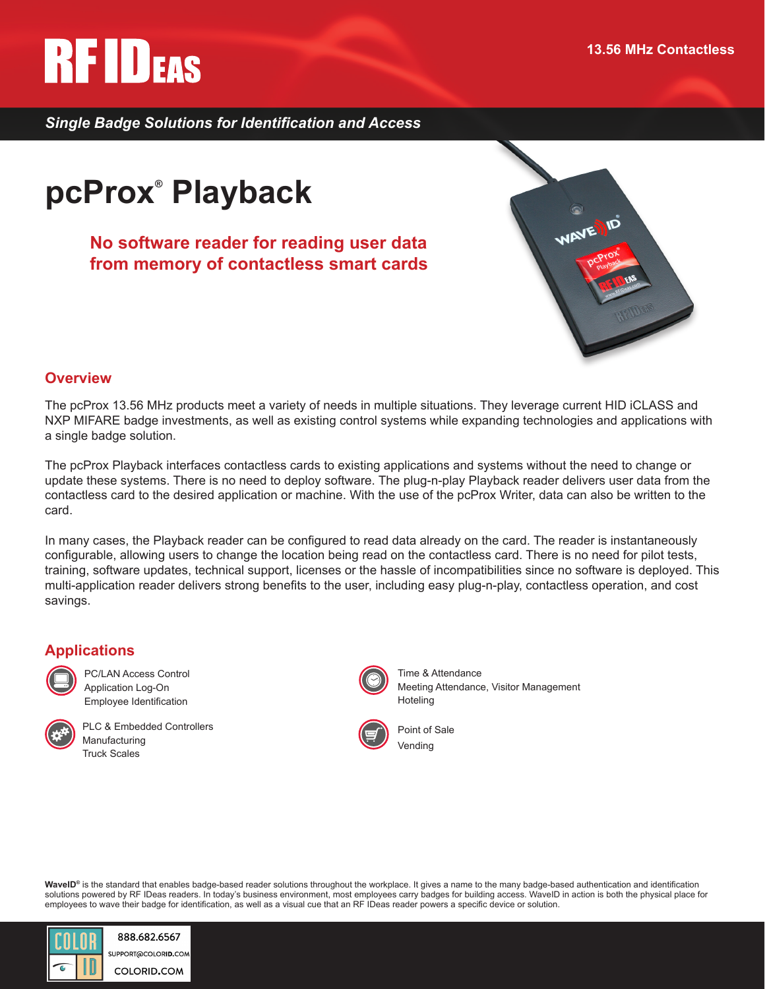# **RFIDEAS**

*Single Badge Solutions for Identification and Access*

# **pcProx® Playback**

**No software reader for reading user data from memory of contactless smart cards**



# **Overview**

The pcProx 13.56 MHz products meet a variety of needs in multiple situations. They leverage current HID iCLASS and NXP MIFARE badge investments, as well as existing control systems while expanding technologies and applications with a single badge solution.

The pcProx Playback interfaces contactless cards to existing applications and systems without the need to change or update these systems. There is no need to deploy software. The plug-n-play Playback reader delivers user data from the contactless card to the desired application or machine. With the use of the pcProx Writer, data can also be written to the card.

In many cases, the Playback reader can be configured to read data already on the card. The reader is instantaneously configurable, allowing users to change the location being read on the contactless card. There is no need for pilot tests, training, software updates, technical support, licenses or the hassle of incompatibilities since no software is deployed. This multi-application reader delivers strong benefits to the user, including easy plug-n-play, contactless operation, and cost savings.

# **Applications**



PC/LAN Access Control Application Log-On Employee Identification



PLC & Embedded Controllers Manufacturing Truck Scales



Time & Attendance Meeting Attendance, Visitor Management Hoteling



Point of Sale Vending

**WaveID®** is the standard that enables badge-based reader solutions throughout the workplace. It gives a name to the many badge-based authentication and identification solutions powered by RF IDeas readers. In today's business environment, most employees carry badges for building access. WaveID in action is both the physical place for employees to wave their badge for identification, as well as a visual cue that an RF IDeas reader powers a specific device or solution.



888.682.6567 SUPPORT@COLORID.COM COLORID.COM